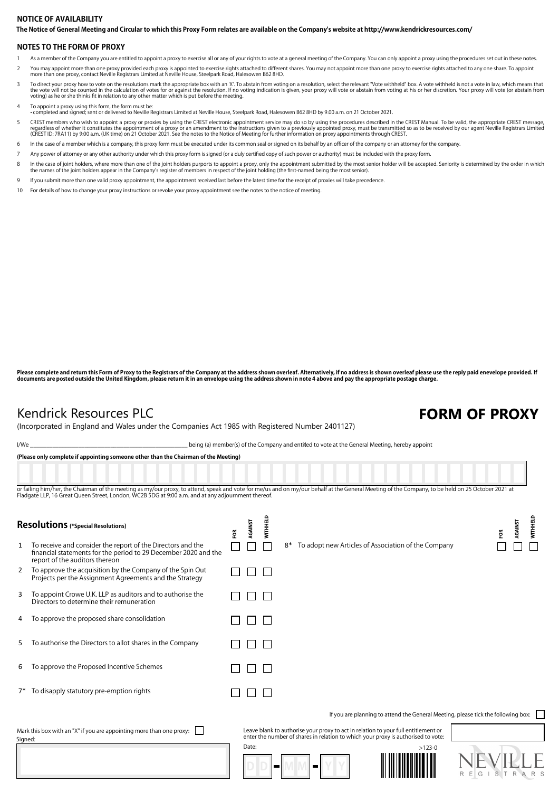### The Notice of General Meeting and Circular to which this Proxy Form relates are available on the Company's website at http://www.kendrickresources.com/ **NOTICE OF AVAILABILITY**

## **NOTES TO THE FORM OF PROXY**

- 1 As a member of the Company you are entitled to appoint a proxy to exercise all or any of your rights to vote at a general meeting of the Company. You can only appoint a proxy using the procedures set out in these notes.
- You may appoint more than one proxy provided each proxy is appointed to exercise rights attached to different shares. You may not appoint more than one proxy to exercise rights attached to any one share. To appoint more th
- To direct your proxy how to vote on the resolutions mark the appropriate box with an 'X'. To abstain from voting on a resolution, select the relevant "Vote withheld" box. A vote withheld is not a vote in law, which means t
- 4 To appoint a proxy using this form, the form must be:

• completed and signed; sent or delivered to Neville Registrars Limited at Neville House, Steelpark Road, Halesowen B62 8HD by 9.00 a.m. on 21 October 2021.

- CREST members who wish to appoint a proxy or proxies by using the CREST electronic appointment service may do so by using the procedures described in the CREST Manual. To be valid, the appropriate CREST message,<br>regardless
- 6 In the case of a member which is a company, this proxy form must be executed under its common seal or signed on its behalf by an officer of the company or an attorney for the company.
- 7 Any power of attorney or any other authority under which this proxy form is signed (or a duly certified copy of such power or authority) must be included with the proxy form.
- ln the case of joint holders, where more than one of the joint holders purports to appoint a proxy, only the appointment submitted by the most senior holder will be accepted. Seniority is determined by the order in which<br>t
- 9 If you submit more than one valid proxy appointment, the appointment received last before the latest time for the receipt of proxies will take precedence.
- 10 For details of how to change your proxy instructions or revoke your proxy appointment see the notes to the notice of meeting.

Please complete and return this Form of Proxy to the Registrars of the Company at the address shown overleaf. Alternatively, if no address is shown overleaf please use the reply paid enevelope provided. If<br>documents are po

## Kendrick Resources PLC **FORM OF PROXY**

(Incorporated in England and Wales under the Companies Act 1985 with Registered Number 2401127)

I/We state of the Company and entitled to vote at the General Meeting, hereby appoint

|         | (Please only complete if appointing someone other than the Chairman of the Meeting)                                                                                                                                                                                                                     |     |         |          |                  |                                                                                                                                                                         |                                                                                   |          |   |        |         |         |                |
|---------|---------------------------------------------------------------------------------------------------------------------------------------------------------------------------------------------------------------------------------------------------------------------------------------------------------|-----|---------|----------|------------------|-------------------------------------------------------------------------------------------------------------------------------------------------------------------------|-----------------------------------------------------------------------------------|----------|---|--------|---------|---------|----------------|
|         | or failing him/her, the Chairman of the meeting as my/our proxy, to attend, speak and vote for me/us and on my/our behalf at the General Meeting of the Company, to be held on 25 October 2021 at<br>Fladgate LLP, 16 Great Queen Street, London, WC2B 5DG at 9:00 a.m. and at any adjournment thereof. |     |         |          |                  |                                                                                                                                                                         |                                                                                   |          |   |        |         |         |                |
|         | Resolutions (*Special Resolutions)                                                                                                                                                                                                                                                                      | FOR | AGAINST | WITHHELD |                  |                                                                                                                                                                         |                                                                                   |          |   |        | ã       | AGAINST | WITHHELD       |
| 1       | To receive and consider the report of the Directors and the<br>financial statements for the period to 29 December 2020 and the<br>report of the auditors thereon                                                                                                                                        |     |         |          | 8*               | To adopt new Articles of Association of the Company                                                                                                                     |                                                                                   |          |   |        |         |         |                |
| 2       | To approve the acquisition by the Company of the Spin Out<br>Projects per the Assignment Agreements and the Strategy                                                                                                                                                                                    |     |         |          |                  |                                                                                                                                                                         |                                                                                   |          |   |        |         |         |                |
| 3       | To appoint Crowe U.K. LLP as auditors and to authorise the<br>Directors to determine their remuneration                                                                                                                                                                                                 |     |         |          |                  |                                                                                                                                                                         |                                                                                   |          |   |        |         |         |                |
| 4       | To approve the proposed share consolidation                                                                                                                                                                                                                                                             |     |         |          |                  |                                                                                                                                                                         |                                                                                   |          |   |        |         |         |                |
| 5       | To authorise the Directors to allot shares in the Company                                                                                                                                                                                                                                               |     |         |          |                  |                                                                                                                                                                         |                                                                                   |          |   |        |         |         |                |
| 6       | To approve the Proposed Incentive Schemes                                                                                                                                                                                                                                                               |     |         |          |                  |                                                                                                                                                                         |                                                                                   |          |   |        |         |         |                |
|         | 7* To disapply statutory pre-emption rights                                                                                                                                                                                                                                                             |     |         |          |                  |                                                                                                                                                                         |                                                                                   |          |   |        |         |         |                |
|         |                                                                                                                                                                                                                                                                                                         |     |         |          |                  |                                                                                                                                                                         | If you are planning to attend the General Meeting, please tick the following box: |          |   |        |         |         |                |
| Signed: | Mark this box with an "X" if you are appointing more than one proxy:                                                                                                                                                                                                                                    |     |         |          |                  | Leave blank to authorise your proxy to act in relation to your full entitlement or<br>enter the number of shares in relation to which your proxy is authorised to vote: |                                                                                   |          |   |        |         |         |                |
|         |                                                                                                                                                                                                                                                                                                         |     | Date:   |          | <b>The State</b> |                                                                                                                                                                         |                                                                                   | $>123-0$ | R | G<br>Е | S.<br>T | R       | A <sub>R</sub> |